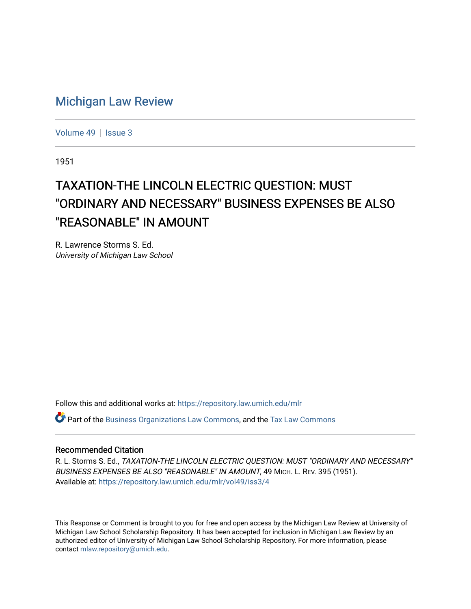## [Michigan Law Review](https://repository.law.umich.edu/mlr)

[Volume 49](https://repository.law.umich.edu/mlr/vol49) | [Issue 3](https://repository.law.umich.edu/mlr/vol49/iss3)

1951

# TAXATION-THE LINCOLN ELECTRIC QUESTION: MUST "ORDINARY AND NECESSARY" BUSINESS EXPENSES BE ALSO "REASONABLE" IN AMOUNT

R. Lawrence Storms S. Ed. University of Michigan Law School

Follow this and additional works at: [https://repository.law.umich.edu/mlr](https://repository.law.umich.edu/mlr?utm_source=repository.law.umich.edu%2Fmlr%2Fvol49%2Fiss3%2F4&utm_medium=PDF&utm_campaign=PDFCoverPages) 

Part of the [Business Organizations Law Commons](http://network.bepress.com/hgg/discipline/900?utm_source=repository.law.umich.edu%2Fmlr%2Fvol49%2Fiss3%2F4&utm_medium=PDF&utm_campaign=PDFCoverPages), and the [Tax Law Commons](http://network.bepress.com/hgg/discipline/898?utm_source=repository.law.umich.edu%2Fmlr%2Fvol49%2Fiss3%2F4&utm_medium=PDF&utm_campaign=PDFCoverPages)

#### Recommended Citation

R. L. Storms S. Ed., TAXATION-THE LINCOLN ELECTRIC QUESTION: MUST "ORDINARY AND NECESSARY" BUSINESS EXPENSES BE ALSO "REASONABLE" IN AMOUNT, 49 MICH. L. REV. 395 (1951). Available at: [https://repository.law.umich.edu/mlr/vol49/iss3/4](https://repository.law.umich.edu/mlr/vol49/iss3/4?utm_source=repository.law.umich.edu%2Fmlr%2Fvol49%2Fiss3%2F4&utm_medium=PDF&utm_campaign=PDFCoverPages)

This Response or Comment is brought to you for free and open access by the Michigan Law Review at University of Michigan Law School Scholarship Repository. It has been accepted for inclusion in Michigan Law Review by an authorized editor of University of Michigan Law School Scholarship Repository. For more information, please contact [mlaw.repository@umich.edu](mailto:mlaw.repository@umich.edu).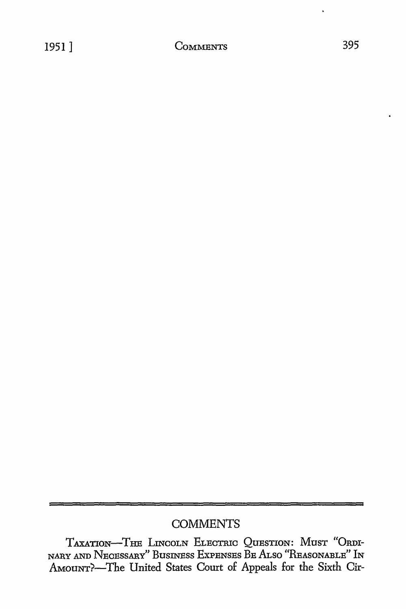### **COMMENTS**

TAXATION-THE LINCOLN ELECTRIC OuESTION: MusT "ORDI-NARY AND NECESSARY" BusINEss EXPENSES BE Ar.so "REASONABLE" IN AMOUNT?-The United States Court of Appeals for the Sixth Cir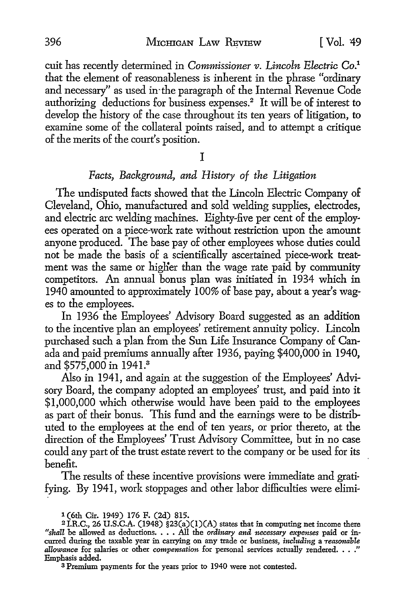cuit has recently determined in *Commissioner v. Lincoln Electric* Co.1 that the element of reasonableness is inherent in the phrase "ordinary and necessary" as used in-the paragraph of the Internal Revenue Code authorizing deductions for business expenses.<sup>2</sup> It will be of interest to develop the history of the case throughout its ten years of litigation, to examine some of the collateral points raised, and to attempt a critique of the merits of the court's position.

I

#### *Facts, Background, and History of the Litigation*

The undisputed facts showed that the Lincoln Electric Company of Cleveland, Ohio, manufactured and sold welding supplies, electrodes, and electric arc welding machines. Eighty-five per cent of the employees operated on a piece-work rate without restriction upon the amount anyone produced. The base pay of other employees whose duties could not be made the basis of a scientifically ascertained piece-work treatment was the same or higher than the wage rate paid by community competitors. An annual bonus plan was initiated in 1934 which in 1940 amounted to approximately 100% of base pay, about a year's wages to the employees.

In 1936 the Employees' Advisory Board suggested as an addition to the incentive plan an employees' retirement annuity policy. Lincoln purchased such a plan from the Sun Life Insurance Company of Canada and paid premiums annually after 1936, paying \$400,000 in 1940, and \$575,000 in 1941.<sup>3</sup>

Also in 1941, and again at the suggestion of the Employees' Advisory Board, the company adopted an employees' trust, and paid into it \$1,000,000 which otherwise would have been paid to the employees as part of their bonus. This fund and the earnings were to be distributed to the employees at the end of ten years, or prior thereto, at the direction of the Employees' Trust Advisory Committee, but in no case could any part of the trust estate revert *to* the company or be used for its benefit.

The results of these incentive provisions were immediate and gratifying. By 1941, work stoppages and other labor difficulties were elimi-

3 Premium payments for the years prior to 1940 were not contested.

<sup>1 (6</sup>th Cir. 1949) 176 F. (2d) 815.

<sup>&</sup>lt;sup>2</sup> I.R.C., 26 U.S.C.A. (1948) §23(a)(1)(A) states that in computing net income there "shall be allowed as deductions. . . . All the *ordinary and necessary expenses* paid or incurred during the taxable year in carrying o *allowance* for salaries or other *compensation* for personal services actually rendered. . . ." Emphasis added.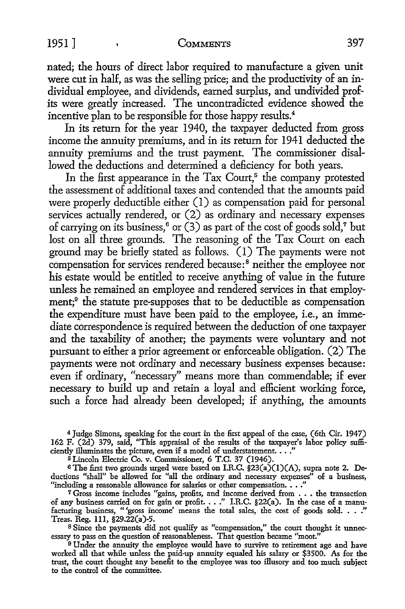nated; the hours of direct labor required to manufacture a given unit were cut in half, as was the selling price; and the productivity of an individual employee, and dividends, earned surplus, and undivided profits were greatly increased. The uncontradicted evidence showed the incentive plan to be responsible for those happy results.<sup>4</sup>

In its return for the year 1940, the taxpayer deducted from gross income the annuity premiums, and in its return for 1941 deducted the annuity premiums and the trust payment. The commissioner disallowed the deductions and determined a deficiency for both years.

In the first appearance in the Tax Court, $5$  the company protested the assessment of additional taxes and contended that the amounts paid were properly deductible either (1) as compensation paid for personal services actually rendered, or (2) as ordinary and necessary expenses of carrying on its business,<sup>6</sup> or  $(3)$  as part of the cost of goods sold,<sup>7</sup> but lost on all three grounds. The reasoning of the Tax Court on each ground may be briefly stated as follows. ( l) The payments were not compensation for services rendered because:<sup>8</sup> neither the employee nor his estate would be entitled *to* receive anything of value in the future unless he remained an employee and rendered services in that employment;9 the statute pre-supposes that *to* be deductible as compensation the expenditure must have been paid to the employee, i.e., an immediate correspondence is required between the deduction of one taxpayer and the taxability of another; the payments were voluntary and not pursuant *to* either a prior agreement or enforceable obligation. (2) The payments were not ordinary and necessary business expenses because: even if ordinary, "necessary" means more than commendable; if ever necessary *to* build up and retain a loyal and efficient working force, such a force had already been developed; if anything, the amounts

<sup>4</sup>Judge Simons, speaking for the court in the first appeal of the case, (6th Cir. 1947) 162 F. (2d) 379, said, "This appraisal of the results of the taxpayer's labor policy sufficiently illuminates the picture, even if a model of understatement. . . ."

<sup>5</sup>Lincoln Electric Co. v. Commissioner, 6 T.C. 37 (1946).

6 The first two grounds urged were based on I.R.C. §23(a)(l)(A), supra note 2. Deductions "shall" be allowed for "all the ordinary and necessary expenses" of a business, "including a reasonable allowance for salaries or other compensation. • • ."

T Gross income includes "gains, profits, and income derived from  $\dots$  the transaction of any business carried on for gain or profit.  $\dots$ " I.R.C. §22(a). In the case of a manufacturing business, "'gross income' means the total sales, the cost of goods sold. . . ." Treas. Reg. lll, §29.22(a)-5.

<sup>8</sup> Since the payments did not qualify as "compensation," the court thought it unnecessary to pass on the question of reasonableness. That question became "moot."

9 Under the annuity the employee would have to survive to retirement age and have worked all that while unless the paid-up annuity equaled his salary or \$3500. As for the trust, the court thought any benefit to the employee was too illusory and too much subject to the control of the committee.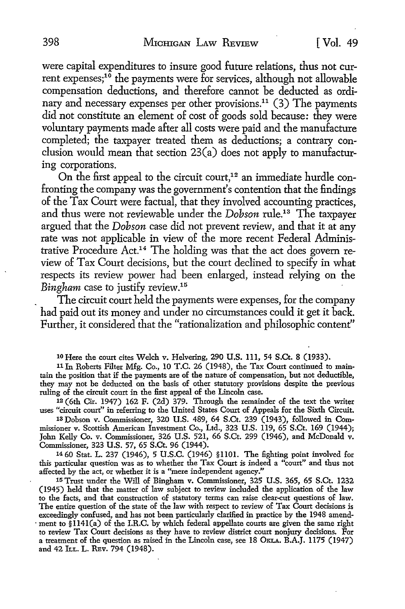were capital expenditures to insure good future relations, thus not current expenses;<sup>10</sup> the payments were for services, although not allowable compensation deductions, and therefore cannot be deducted as ordinary and necessary expenses per other provisions.<sup>11</sup> (3) The payments did not constitute an element of cost of goods sold because: they were voluntary payments made after all costs were paid and the manufacture completed; the taxpayer treated them as deductions; a contrary conclusion would mean that section 23(a) does not apply to manufacturing corporations.

On the first appeal to the circuit court,<sup>12</sup> an immediate hurdle confronting the company was the government's contention that the findings of the Tax Court were factual, that they involved accounting practices, and thus were not reviewable under the *Dobson* rule.13 The taxpayer argued that the *Dobson* case did not prevent review, and that it at any rate was not applicable in view of the more recent Federal Administrative Procedure Act.<sup>14</sup>The holding was that the act does govern review of Tax Court decisions, but the court declined to specify in what respects its review power had been enlarged, instead relying on the *Bingham* case to justify review.<sup>15</sup>

The circuit court held the payments were expenses, for the company had paid out its money and under no circumstances could it get it back. Further, it considered that the "rationalization and philosophic content"

10 Here the court cites Welch v. Helvering, 290 U.S. 111, 54 S.Ct. 8 (1933).

11 In Roberts Filter Mfg. Co., 10 T.C. 26 (1948), the Tax Court continued to maintain the position that if the payments are of the nature of compensation, but not deductible, they may not be deducted on the basis of other statutory provisions despite the previous ruling of the circuit court in the first appeal of the Lincoln case.

12 (6th Cir. 1947) 162 F. (2d) 379. Through the remainder of the text the writer uses "circuit court" in referring to the United States Court of Appeals for the Sixth Circuit.

13 Dobson v. Commissioner, 320 U.S. 489, 64 S.Ct. 239 (1943), followed in Commissioner v. Scottish American Investment Co., Ltd., 323 U.S. 119, 65 S.Ct. 169 (1944); John Kelly Co. v. Commissioner, 326 U.S. 521, 66 S.Ct. 299 (1946), and McDonald v. Commissioner, 323 U.S. 57, 65 S.Ct. 96 (1944).

14 60 Stat. L. 237 (1946), 5 U.S.C. (1946) §1101. The fighting point involved for this particular question was as to whether the Tax Court is indeed a "court" and thus not affected by the act, or whether it is a "mere independent agency."

15 Trust under the Will of Bingham v. Commissioner, 325 U.S. 365, 65 S.Ct. 1232 (1945) held that the matter of law subject to review included the application of the law to the facts, and that construction of statutory terms can raise clear-cut questions of law. The entire question of the state of the law with respect to review of Tax Court decisions is exceedingly confused, and has not been particularly clarified in practice by the 1948 amend- . ment to §ll4l(a) of the I.R.C. by which federal appellate courts are given the same right to review Tax Court decisions as they have to review district court nonjury decisions. For a treatment of the question as raised in the Lincoln case, see 18 OKLA. B.A.J. 1175 (1947) and 42 ILL. L. REV. 794 (1948).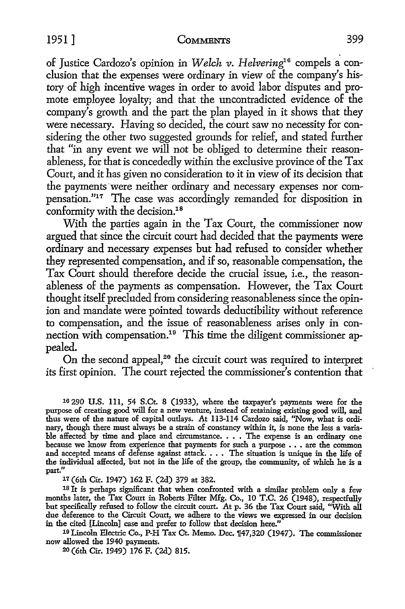of Justice Cardozo's opinion in *Welch v. Helvering*<sup>16</sup> compels a conclusion that the expenses were ordinary in view of the company's history of high incentive wages in order to avoid labor disputes and promote employee loyalty; and that the uncontradicted evidence of the company's growth and the part the plan played in it shows that they were necessary. Having so decided, the court saw no necessity for considering the other two suggested grounds for relief, and stated further that "in any event we will not be obliged to determine their reasonableness, for that is concededly within the exclusive province of the Tax Court, and it has given no consideration to it in view of its decision that

the payments were neither ordinary and necessary expenses nor compensation."17 The case was accordingly remanded for disposition in conformity with the decision.<sup>18</sup>

With the parties again in the Tax Court, the commissioner now argued that since the circuit court had decided that the payments were ordinary and necessary expenses but had refused to consider whether they represented compensation, and if so, reasonable compensation, the Tax Court should therefore decide the crucial issue, i.e., the reasonableness of the payments as compensation. However, the Tax Court thought itself precluded from considering reasonableness since the opinion and mandate were pointed towards deductibility without reference to compensation, and the issue of reasonableness arises only in connection with compensation.<sup>19</sup> This time the diligent commissioner appealed.

On the second appeal,<sup>20</sup> the circuit court was required to interpret its first opinion. The court rejected the commissioner's contention that

16 290 U.S. 111, 54 S.Ct. 8 (1933), where the taxpayer's payments were for the purpose of creating good will for a new venture, instead of retaining existing good will, and thus were of the nature of capital outlays. At 113-114 Cardozo said, "Now, what is ordinary, though there must always be a strain of constancy within it, is none the less a variable affected by time and place and circumstance. • • • The expense is an ordinary one because we know from experience that payments for such a purpose • • • are the common and accepted means of defense against attack. • • • The situation is unique in the life of the individual affected, but not in the life of the group, the community, of which he is a part."

<sup>11</sup>(6th Cir. 1947) 162 F. (2d) 379 at 382.

18 It is perhaps significant that when confronted with a similar problem only a few months later, the Tax Court in Roberts Filter Mfg. Co., 10 T.C. 26 (1948), respectfully but specifically refused to follow the circuit court. At p. 36 the Tax Court said, "With all due deference to the Circuit Court, we adhere to the views we expressed in our decision in the cited [Lincoln] case and prefer to follow that decision here."

<sup>19</sup> Lincoln Electric Co., P-H Tax Ct. Memo. Dec.  $147,320$  (1947). The commissioner now allowed the 1940 payments.

20 (6th Cir. 1949) 176 F. (2d) 815.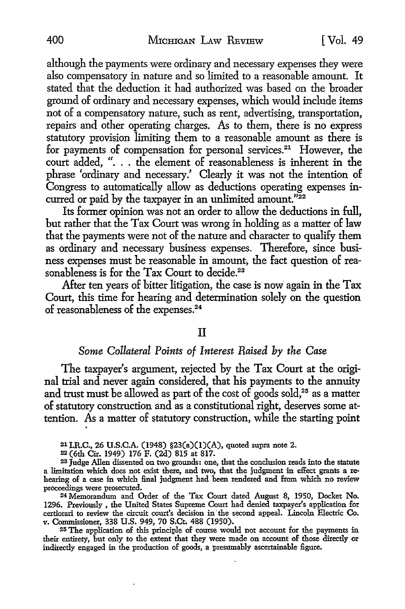although the payments were ordinary and necessary expenses they were also compensatory in nature and so limited to a reasonable amount. It stated that the deduction it had authorized was based on the broader ground of ordinary and necessary expenses, which would include items not of a compensatory nature, such as rent, advertising, transportation, repairs and other operating charges. As to them, there is no express statutory provision limiting them to a reasonable amount as there is for payments of compensation for personal services.<sup>21</sup> However, the court added, "... the element of reasonableness is inherent in the phrase 'ordinary and necessary.' Clearly it was not the intention of Congress to automatically allow as deductions operating expenses incurred or paid by the taxpayer in an unlimited amount."<sup>22</sup>

Its former opinion was not an order to allow the deductions in full, but rather that the Tax Court was wrong in holding as a matter of law that the payments were not of the nature and character to qualify them as ordinary and necessary business expenses. Therefore, since business expenses must be reasonable in amount; the fact question of reasonableness is for the Tax Court to decide.<sup>23</sup>

After ten years of bitter litigation, the case is now again in the Tax Court, this time for hearing and determination solely on the question of reasonableness of the expenses.24

#### II

#### *Some Collateral Points of Interest Raised by the Case*

The taxpayer's argument, rejected by the Tax Court at the original trial and never again considered, that his payments to the annuity and trust must be allowed as part of the cost of goods sold,<sup>25</sup> as a matter of statutory construction and as a constitutional right, deserves some attention. As a matter of statutory construction, while the starting point

21 LR.C., 26 U.S.C.A. (1948) §23(a)(l)(A), quoted supra note 2.

<sup>22</sup>(6th Cir. 1949) 176 F. (2d) 815 at 817.

23 Judge Allen dissented on two grounds: one, that the conclusion reads into the statute a limitation which does not exist there, and two, that the judgment in effect grants a rehearing of a case in which final judgment had been rendered and from which no review proceedings were prosecuted.

<sup>24</sup>Memorandum and Order of the Tax Court dated August 8, 1950, Docket No. 1296. Previously , the United States Supreme Court had denied taxpayer's application for certiorari to review the circuit court's decision in· the second appeal. Lincoln Electric Co. v. Commissioner, 338 U.S. 949, 70 S.Ct. 488 (1950).

25 The application of this principle of course would not account for the payments in their entirety, but only to the extent that they were made on account of those directly or indirectly engaged in the production of goods, a presumably ascertainable figure.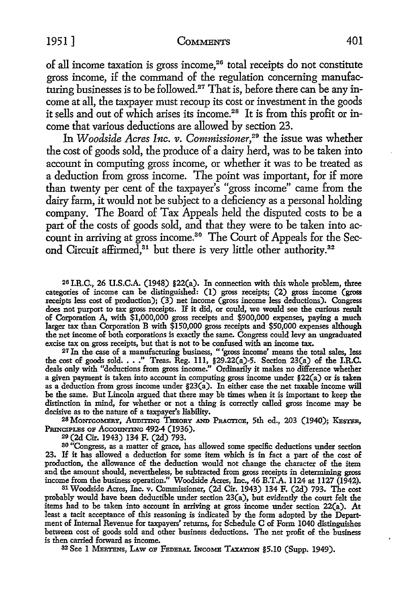of all income taxation is gross income,<sup>26</sup> total receipts do not constitute gross income, if the command of the regulation concerning manufacturing businesses is *to* be followed.27 That is, before there can be any income at all, the taxpayer must recoup its cost or investment in the goods it sells and out of which arises its income.<sup>28</sup> It is from this profit or income that various deductions are allowed by section 23.

In *Woodside Acres Inc. v. Commissioner*,<sup>29</sup> the issue was whether the cost of goods sold, the produce of a dairy herd, was *to* be taken into account in computing gross income, or whether it was to be treated as a deduction from gross income. The point was important, for if more than twenty per cent of the taxpayer's "gross income" came from the dairy farm, it would not be subject to a deficiency as a personal holding company. The Board of Tax Appeals held the disputed costs to be a part of the costs of goods sold, and that they were to be taken into account in arriving at gross income.<sup>30</sup> The Court of Appeals for the Second Circuit affirmed,<sup>81</sup> but there is very little other authority.<sup>82</sup>

26 I.R.C., 26 U.S.C.A. (1948) §22(a). In connection with this whole problem, three categories of income can be distinguished: (1) gross receipts; (2) gross income (gross receipts less cost of production); (3) net income (gross income less deductions). Congress does not purport to tax gross receipts. If it did, or could, we would see the curious result of Corporation A, with \$1,000,000 gross receipts and \$900,000 expenses, paying a much larger tax than Corporation B with \$150,000 gross receipts and \$50,000 expenses although the net income of both corporations is exactly the same. Congress could levy an ungraduated excise tax on gross receipts, but that is not to be confused with an income tax.

27 In the case of a manufacturing business, " 'gross income' means the total sales, **less**  the cost of goods sold •••• " Treas. Reg. 111, §29.22(a)-5. Section 23(a) of the **I.R.C.**  deals only with "deductions from gross income." Ordinarily it makes no difference whether a given payment is taken into account in computing gross income under §22(a) or is taken as a deduction from gross income under §23(a). In either case the net taxable income will be the same. But Lincoln argued that there may be times when it is important to keep the distinction in mind, for whether or not a thing is correctly called gross income may be decisive as to the nature of a taxpayer's liability.

<sup>28</sup> MONTGOMERY, AUDITING THEORY AND PRACTICE, 5th ed., 203 (1940); KESTER, PRINCIPLES OF ACCOUNTING 492-4 (1936).

20 (2d Cir. 1943) 134 F. (2d) 793.

30 "Congress, as a matter of grace, has allowed some specific deductions under section 23. If it has allowed a deduction for some item which is in fact a part of the cost of production, the allowance of the deduction would not change the character of the item and the amount should, nevertheless, be subtracted from gross receipts in determining gross income from the business operation." Woodside Acres, Inc., 46 B.T.A. 1124 at 1127 (1942).

31 Woodside Acres, Inc. v. Commissioner, (2d Cir. 1943) 134 F. (2d) 793. The cost probably would have been deductible under section 23(a), but evidently the court felt the items had to be taken into account in arriving at gross income under section 22(a). **At**  least a tacit acceptance of this reasoning is indicated by the form adopted by the Department of Internal Revenue for taxpayers' returns, for Schedule C of Form 1040 distinguishes between cost of goods sold and other business deductions. The net profit of the business is then carried forward as income.

32 See 1 MEnTBNs, I.Aw OP FEDERAL INcoME TAXATION §5.10 (Supp. 1949).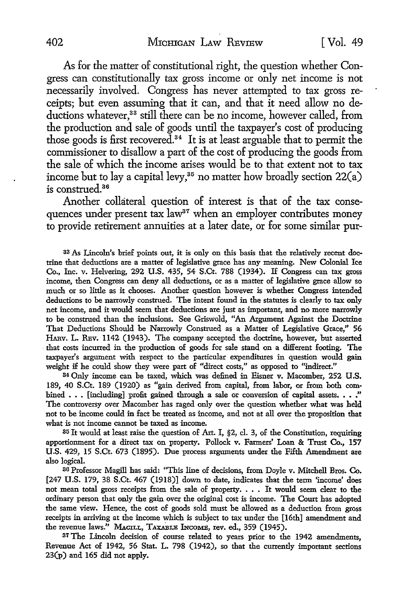As for the matter of constitutional right, the question whether Congress can constitutionally tax gross income or only net income is not necessarily involved. Congress has never attempted to tax gross receipts; but even assuming that it can, and that it need allow no deductions whatever,<sup>33</sup> still there can be no income, however called, from the production and sale of goods until the taxpayer's cost of producing those goods is first recovered. 34 It is at least arguable that to permit the commissioner to disallow a part of the cost of producing the goods from the sale of which the income arises would be to that extent not to tax income but to lay a capital levy,<sup>35</sup> no matter how broadly section  $22(a)$ is construed.36

Another collateral question of interest is that of the tax consequences under present tax law<sup>37</sup> when an employer contributes money to provide retirement annuities at a later date, or for some similar pur-

33 *As* Lincoln's brief points out, it is only on this basis that the relatively recent doctrine that deductions are a matter of legislative grace has any meaning. New Colonial Ice Co., Inc. v. Helvering, 292 U.S. 435, 54 S.Ct. 788 (1934). If Congress can tax gross income, then Congress can deny all deductions, or as a matter of legislative grace allow so much or so little as it chooses. Another question however is whether Congress intended deductions to be narrowly construed. The intent found in the statutes is clearly to tax only net income, and it would seem that deductions are just as important, and no more narrowly to be construed than the inclusions. See Griswold, "An Argument Against the Doctrine That Deductions Should be Narrowly Construed as a Matter of Legislative Grace," 56 HARV. L. REV. 1142 (1943). The company accepted the doctrine, however, but asserted that costs incurred in the production of goods for sale stand on a different footing. The taxpayer's argument with respect to the particular expenditures in question would gain weight if he could show they were part of "direct costs," as opposed to "indirect."

34 Only income can be taxed, which was defined in Eisner v. Macomber, 252 **U.S.**  189, 40 S.Ct. 189 (1920) as "gain derived from capital, from labor, or from both combined . . . [including] profit gained through a sale or conversion of capital assets. . . ." The controversy over Macomber has raged only over the question whether what was held not to be income could in fact be treated as income, and not at all over the proposition that what is not income cannot be taxed as income.

35 It would at least raise the question of Art. I, §2, cl. 3, of the Constitution, requiring apportionment for a direct tax on property. Pollock v. Farmers' Loan & Trust Co., 157 U.S. 429, 15 S.Ct. 673 (1895). Due process arguments under the Fifth Amendment are also logical.

36 Professor Magill has said: "This line of decisions, from Doyle v. Mitchell Bros. Co. [247 U.S. 179, 38 S.Ct. 467 (1918)] down to date, indicates that the term 'income' does not mean total gross receipts from the sale of property. . . . It would seem clear to the ordinary person that only the gain over the original cost is income. The Court has adopted the same view. Hence, the cost of goods sold must be allowed as a deduction from gross receipts in arriving at the income which is subject to tax under the [16th] amendment and the revenue laws." MAGILL, TAXABLE INCOME, rev. ed., 359 (1945).

<sup>37</sup>The Lincoln decision of course related to years prior to the 1942 amendments, Revenue Act of 1942, 56 Stat. L. 798 (1942), so that the currently important sections 23(p) and 165 did not apply.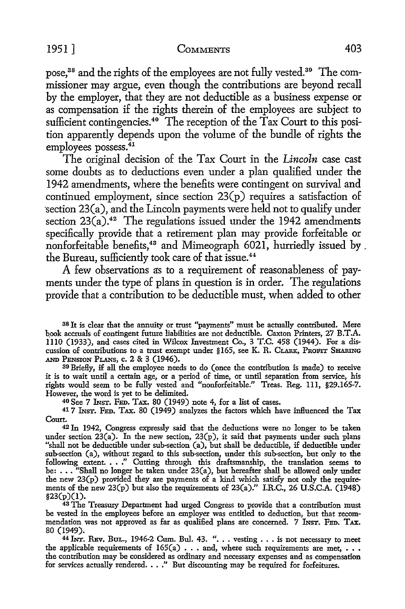pose,38 and the rights of the employees are not fully vested.39 The commissioner may argue, even though the contributions are beyond recall by the employer, that they are not deductible as a business expense or as compensation if the rights therein of the employees are subject to sufficient contingencies.<sup>40</sup> The reception of the Tax Court to this position apparently depends upon the volume of the bundle of rights the employees possess.<sup>41</sup>

The original decision of the Tax Court in the *Lincoln* case cast some doubts as to deductions even under a plan qualified under the 1942 amendments, where the benefits were contingent on survival and continued employment, since section  $23(p)$  requires a satisfaction of  $\gamma$  section 23 $(a)$ , and the Lincoln payments were held not to qualify under section  $23(a)$ .<sup>42</sup> The regulations issued under the 1942 amendments specifically provide that a retirement plan may provide forfeitable or nonforfeitable benefits,<sup>43</sup> and Mimeograph 6021, hurriedly issued by, the Bureau, sufficiently took care of that issue.<sup>44</sup>

A few observations as to a requirement of reasonableness of payments under the type of plans in question is in order. The regulations provide that a contribution to be deductible must, when added to other

38 It is clear that the annuity or trust "payments" must be actually contributed. Mere b.ook accruals of contingent future liabilities are not deductible. Caxton Printers, 27 B.T .A. 1110 (1933), and cases cited in Wilcox Investment Co., 3 T.C. 458 (1944). For a discussion of contributions to a trust exempt under § 165, see K. R. CLARK, PROFIT SHARING AND PENSION PLANS, c. 2 & 3 (1946).

<sup>39</sup>Briefly, if all the employee needs to do (once the contribution is made) to receive it is to wait until a certain age, or a period of time, or until separation from service, his rights would seem to be fully vested and "nonforfeitable." Treas. Reg. 111, §29.165-7. However, the word is yet to be delimited.

40 See 7 INST. FED. TAX. 80 (1949) note 4, for a list of cases.

41 7 INsT. FED. TAX. 80 (1949) analyzes the factors which have influenced the Tax Court.

42 In 1942, Congress expressly said that the deductions were no longer to be taken under section 23(a). In the new section, 23(p), it said that payments under such plans "shall not be deductible under sub-section (a), but shall be deductible, if deductible under sub-section (a), without regard to this sub-section, under this sub-section, but only to the following extent. . . ." Cutting through this draftsmanship, the translation seems to<br>be: . . . "Shall no longer be taken under 23(a), but hereafter shall be allowed only under the new 23(p) provided they are payments of a kind which satisfy not only the requirements of the new 23(p) but also the requirements of 23(a)." I.R.C., 26 U.S.C.A. (1948)  $$23(p)(1)$ .

<sup>43</sup> The Treasury Department had urged Congress to provide that a contribution must be vested in the employees before an employer was entitled to deduction, but that recommendation was not approved as far as qualified plans are concerned. 7 INST. FED. TAX. 80 (1949).

44 INT. REV. BUL., 1946-2 Cum. Bul. 43. ". . . vesting . . . is not necessary to meet the applicable requirements of  $165(a)$ ... and, where such requirements are met,  $\dots$ the contribution may be considered as ordinary and necessary expenses and as compensation for services actually rendered. • . ." But discounting may be required for forfeitures.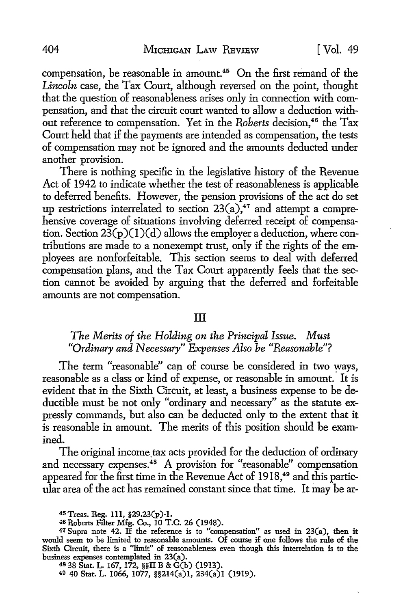compensation, be reasonable in amount.<sup>45</sup> On the first remand of the *Lincoln* case, the Tax Court, although reversed on the point, thought that the question of reasonableness arises only in connection with compensation, and that the circuit court wanted to allow a deduction without reference to compensation. Yet in the *Roberts* decision.<sup>46</sup> the Tax Court held that if the payments are intended as compensation, the tests of compensation may not be ignored and the amounts deducted under another provision.

There is nothing specific in the legislative history of the Revenue Act of 1942 to indicate whether the test of reasonableness is applicable to deferred benefits. However, the pension provisions of the act do set up restrictions interrelated to section  $23(a)$ ,<sup>47</sup> and attempt a comprehensive coverage of situations involving deferred receipt of compensation. Section  $23(p)(1)(d)$  allows the employer a deduction, where contributions are made to a nonexempt trust, only if the rights of the employees are nonforfeitable. This section seems to deal with deferred compensation plans, and the Tax Court apparently feels that the section cannot be avoided by arguing that the deferred and forfeitable amounts are not compensation.

#### III

#### *The Merits of the Holding on the Principal Issue. Must "Ordinary and Necessary" Expenses Also be "Reasonable"?*

The term "reasonable" can of course be considered in two ways, reasonable as a class or kind of expense, or reasonable in amount. It is evident that in the Sixth Circuit, at least, a business expense to be deductible must be not only "ordinary and necessary" as the statute expressly commands, but also can be deducted only to the extent that it is reasonable in amount. The merits of this position should be examined.

The original income tax acts provided for the deduction of ordinary and necessary expenses.<sup>48</sup> A provision for "reasonable" compensation appeared for the first time in the Revenue Act of 1918,<sup>49</sup> and this particular area of the act has remained constant since that time. It may be ar-

48 38 Stat. L. 167, 172, §§II B & G(b) (1913).

49 40 Stat. L. 1066, 1077, §§214(a)l, 234(a)l (1919).

<sup>45</sup>Treas. Reg. 111, §29.23(p)-I.

<sup>46</sup> Roberts Filter Mfg. Co., IO T.C. 26 (1948).

<sup>47</sup> Supra note 42. H the reference is to "compensation" as used in 23(a), then it would seem to be limited to reasonable amounts. Of course if one follows the rule of the Sixth Circuit, there is a ''limit" of reasonableness even though this interrelation is to the business expenses contemplated in 23(a).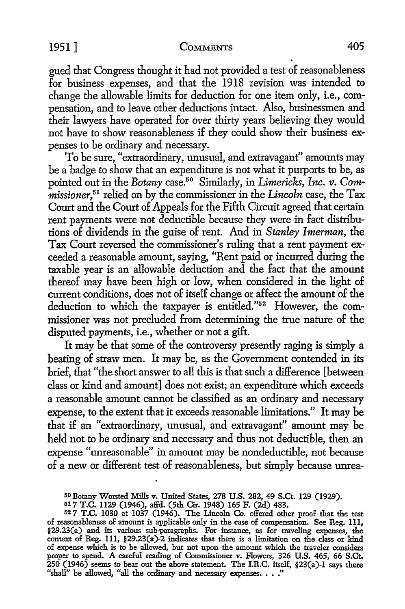gued that Congress thought it had not provided a test of reasonableness for business expenses, and that the 1918 revision was intended to change the allowable limits for deduction for one item only, i.e., compensation, and to leave other deductions intact. Also, businessmen and their lawyers have operated for over thirty years believing they would not have to show reasonableness if they could show their business expenses to be ordinary and necessary.

To be sure, "extraordinary, unusual, and extravagant'' amounts may be a badge to show that an expenditure is not what it purports to be, as pointed out in the *Botany* case.50 Similarly, in *Limericks, Inc. v. Commissioner,* 51 relied on by the commissioner in the *Lincoln* case, the Tax Court and the Court of Appeals for the Fifth Circuit agreed that certain rent payments were not deductible because they were in fact distributions of dividends in the guise of rent. And in *Stanley Imerman,* the Tax Court reversed the commissioner's ruling that a rent payment exceeded a reasonable amount, saying, "Rent paid or incurred during the taxable year is an allowable deduction and the fact that the amount thereof may have been high or low, when considered in the light of current conditions, does not of itself change or affect the amount of the deduction to which the taxpayer is entitled."52 However, the commissioner was not precluded from determining the true nature of the disputed payments, i.e., whether or not a gift.

It may be that some of the controversy presently raging is simply a beating of straw men. It may be, as the Government contended in its brief, that "the short answer to all this is that such a difference [between class or kind and amount] does not exist; an expenditure which exceeds a reasonable amount cannot be classified as an ordinary and necessary expense, to the extent that it exceeds reasonable limitations." It may be that if an "extraordinary, unusual, and extravagant'' amount may be held not to be ordinary and necessary and thus not deductible, then an expense "unreasonable" in amount may be nondeductible, not because of a new or different test of reasonableness, but simply because unrea-

<sup>50</sup> Botany Worsted Mills v. United States, 278 U.S. 282, 49 S.Ct. 129 (1929).

<sup>517</sup> T.C. 1129 (1946), affd. (5th Cir. 1948) 165 F. (2d) 483.

<sup>52 7</sup> T.C. 1030 at 1037 (1946). The Lincoln Co. offered other proof that the test of reasonableness of amount is applicable only in the case of compensation. See Reg. Ill, §29.23(a) and its various sub-paragraphs. For instance, as for traveling expenses, the context of Reg. Ill, §29.23(a)-2 indicates that there is a limitation on the class or kind of expense which is to be allowed, but not upon the amount which the traveler considers proper to spend. A careful reading of Commissioner v. Flowers, 326 U.S. 465, 66 S.Ct. 250 (1946) seems to bear out the above statement. The I.R.C. itself, §23(a)-1 says there "shall" be allowed, "all the ordinary and necessary expenses. . . ."